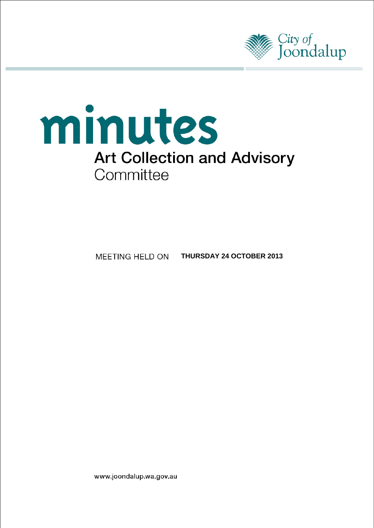



MEETING HELD ON **THURSDAY 24 OCTOBER 2013**

www.joondalup.wa.gov.au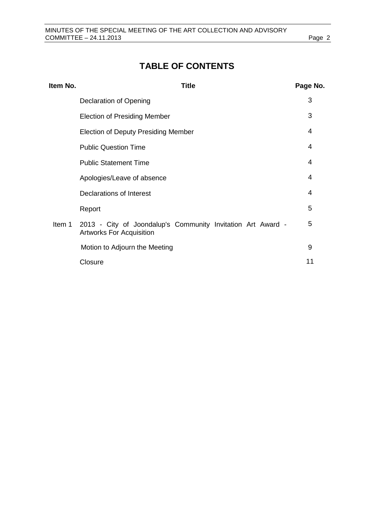# **TABLE OF CONTENTS**

| Item No. | <b>Title</b>                                                                                   | Page No. |
|----------|------------------------------------------------------------------------------------------------|----------|
|          | Declaration of Opening                                                                         | 3        |
|          | <b>Election of Presiding Member</b>                                                            | 3        |
|          | <b>Election of Deputy Presiding Member</b>                                                     | 4        |
|          | <b>Public Question Time</b>                                                                    | 4        |
|          | <b>Public Statement Time</b>                                                                   | 4        |
|          | Apologies/Leave of absence                                                                     | 4        |
|          | Declarations of Interest                                                                       | 4        |
|          | Report                                                                                         | 5        |
| Item 1   | 2013 - City of Joondalup's Community Invitation Art Award -<br><b>Artworks For Acquisition</b> | 5        |
|          | Motion to Adjourn the Meeting                                                                  | 9        |
|          | Closure                                                                                        | 11       |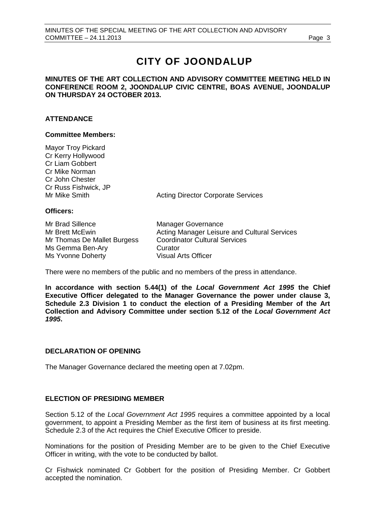# **CITY OF JOONDALUP**

# **MINUTES OF THE ART COLLECTION AND ADVISORY COMMITTEE MEETING HELD IN CONFERENCE ROOM 2, JOONDALUP CIVIC CENTRE, BOAS AVENUE, JOONDALUP ON THURSDAY 24 OCTOBER 2013.**

# **ATTENDANCE**

# **Committee Members:**

Mayor Troy Pickard Cr Kerry Hollywood Cr Liam Gobbert Cr Mike Norman Cr John Chester Cr Russ Fishwick, JP

Mr Mike Smith Acting Director Corporate Services

# **Officers:**

Mr Brad Sillence Manager Governance Mr Thomas De Mallet Burgess Ms Gemma Ben-Ary **Curator**<br>Ms Yvonne Doberty **Ms Curator** Visual Arts Officer Ms Yvonne Doherty

Mr Brett McEwin **Acting Manager Leisure and Cultural Services**<br>Mr Thomas De Mallet Burgess Coordinator Cultural Services

There were no members of the public and no members of the press in attendance.

**In accordance with section 5.44(1) of the** *Local Government Act 1995* **the Chief Executive Officer delegated to the Manager Governance the power under clause 3, Schedule 2.3 Division 1 to conduct the election of a Presiding Member of the Art Collection and Advisory Committee under section 5.12 of the** *Local Government Act 1995***.** 

# <span id="page-2-0"></span>**DECLARATION OF OPENING**

<span id="page-2-1"></span>The Manager Governance declared the meeting open at 7.02pm.

# **ELECTION OF PRESIDING MEMBER**

Section 5.12 of the *Local Government Act 1995* requires a committee appointed by a local government, to appoint a Presiding Member as the first item of business at its first meeting. Schedule 2.3 of the Act requires the Chief Executive Officer to preside.

Nominations for the position of Presiding Member are to be given to the Chief Executive Officer in writing, with the vote to be conducted by ballot.

Cr Fishwick nominated Cr Gobbert for the position of Presiding Member. Cr Gobbert accepted the nomination.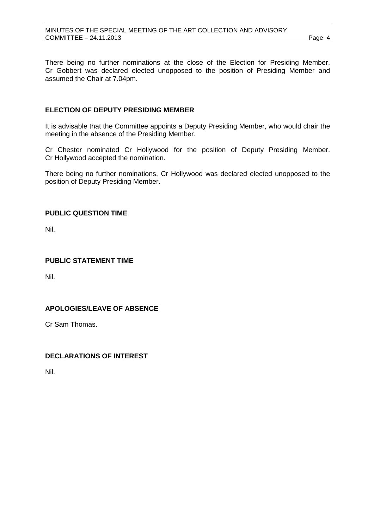There being no further nominations at the close of the Election for Presiding Member, Cr Gobbert was declared elected unopposed to the position of Presiding Member and assumed the Chair at 7.04pm.

# <span id="page-3-0"></span>**ELECTION OF DEPUTY PRESIDING MEMBER**

It is advisable that the Committee appoints a Deputy Presiding Member, who would chair the meeting in the absence of the Presiding Member.

Cr Chester nominated Cr Hollywood for the position of Deputy Presiding Member. Cr Hollywood accepted the nomination.

There being no further nominations, Cr Hollywood was declared elected unopposed to the position of Deputy Presiding Member.

# <span id="page-3-1"></span>**PUBLIC QUESTION TIME**

Nil.

# <span id="page-3-2"></span>**PUBLIC STATEMENT TIME**

Nil.

# <span id="page-3-3"></span>**APOLOGIES/LEAVE OF ABSENCE**

Cr Sam Thomas.

# <span id="page-3-4"></span>**DECLARATIONS OF INTEREST**

<span id="page-3-5"></span>Nil.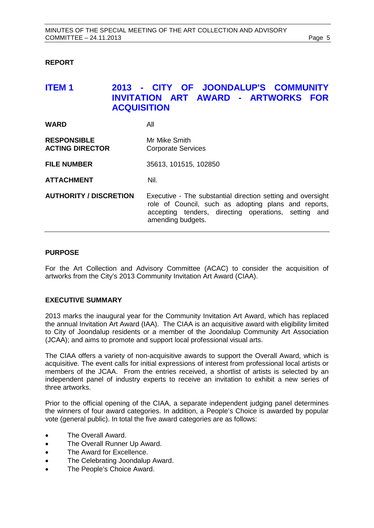# **REPORT**

# <span id="page-4-0"></span>**ITEM 1 2013 - CITY OF JOONDALUP'S COMMUNITY INVITATION ART AWARD - ARTWORKS FOR ACQUISITION**

| <b>WARD</b>                                  | All                                                                                                                                                                                              |  |  |  |
|----------------------------------------------|--------------------------------------------------------------------------------------------------------------------------------------------------------------------------------------------------|--|--|--|
| <b>RESPONSIBLE</b><br><b>ACTING DIRECTOR</b> | Mr Mike Smith<br><b>Corporate Services</b>                                                                                                                                                       |  |  |  |
| <b>FILE NUMBER</b>                           | 35613, 101515, 102850                                                                                                                                                                            |  |  |  |
| <b>ATTACHMENT</b>                            | Nil.                                                                                                                                                                                             |  |  |  |
| <b>AUTHORITY / DISCRETION</b>                | Executive - The substantial direction setting and oversight<br>role of Council, such as adopting plans and reports,<br>accepting tenders, directing operations, setting and<br>amending budgets. |  |  |  |

# **PURPOSE**

For the Art Collection and Advisory Committee (ACAC) to consider the acquisition of artworks from the City's 2013 Community Invitation Art Award (CIAA).

# **EXECUTIVE SUMMARY**

2013 marks the inaugural year for the Community Invitation Art Award, which has replaced the annual Invitation Art Award (IAA). The CIAA is an acquisitive award with eligibility limited to City of Joondalup residents or a member of the Joondalup Community Art Association (JCAA); and aims to promote and support local professional visual arts.

The CIAA offers a variety of non-acquisitive awards to support the Overall Award, which is acquisitive. The event calls for initial expressions of interest from professional local artists or members of the JCAA. From the entries received, a shortlist of artists is selected by an independent panel of industry experts to receive an invitation to exhibit a new series of three artworks.

Prior to the official opening of the CIAA, a separate independent judging panel determines the winners of four award categories. In addition, a People's Choice is awarded by popular vote (general public). In total the five award categories are as follows:

- The Overall Award.
- The Overall Runner Up Award.
- The Award for Excellence.
- The Celebrating Joondalup Award.
- The People's Choice Award.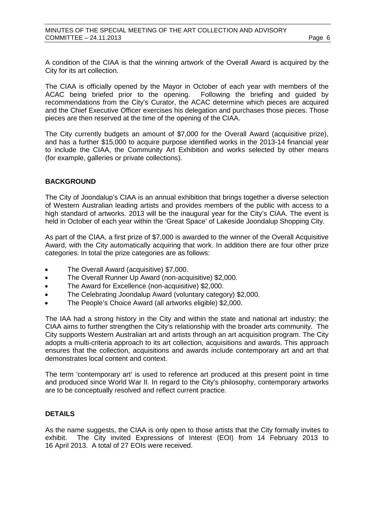A condition of the CIAA is that the winning artwork of the Overall Award is acquired by the City for its art collection.

The CIAA is officially opened by the Mayor in October of each year with members of the ACAC being briefed prior to the opening. Following the briefing and guided by recommendations from the City's Curator, the ACAC determine which pieces are acquired and the Chief Executive Officer exercises his delegation and purchases those pieces. Those pieces are then reserved at the time of the opening of the CIAA.

The City currently budgets an amount of \$7,000 for the Overall Award (acquisitive prize), and has a further \$15,000 to acquire purpose identified works in the 2013-14 financial year to include the CIAA, the Community Art Exhibition and works selected by other means (for example, galleries or private collections).

# **BACKGROUND**

The City of Joondalup's CIAA is an annual exhibition that brings together a diverse selection of Western Australian leading artists and provides members of the public with access to a high standard of artworks. 2013 will be the inaugural year for the City's CIAA. The event is held in October of each year within the 'Great Space' of Lakeside Joondalup Shopping City.

As part of the CIAA, a first prize of \$7,000 is awarded to the winner of the Overall Acquisitive Award, with the City automatically acquiring that work. In addition there are four other prize categories. In total the prize categories are as follows:

- The Overall Award (acquisitive) \$7,000.
- The Overall Runner Up Award (non-acquisitive) \$2,000.
- The Award for Excellence (non-acquisitive) \$2,000.
- The Celebrating Joondalup Award (voluntary category) \$2,000.
- The People's Choice Award (all artworks eligible) \$2,000.

The IAA had a strong history in the City and within the state and national art industry; the CIAA aims to further strengthen the City's relationship with the broader arts community. The City supports Western Australian art and artists through an art acquisition program. The City adopts a multi-criteria approach to its art collection, acquisitions and awards. This approach ensures that the collection, acquisitions and awards include contemporary art and art that demonstrates local content and context.

The term 'contemporary art' is used to reference art produced at this present point in time and produced since World War II. In regard to the City's philosophy, contemporary artworks are to be conceptually resolved and reflect current practice.

# **DETAILS**

As the name suggests, the CIAA is only open to those artists that the City formally invites to exhibit. The City invited Expressions of Interest (EOI) from 14 February 2013 to 16 April 2013. A total of 27 EOIs were received.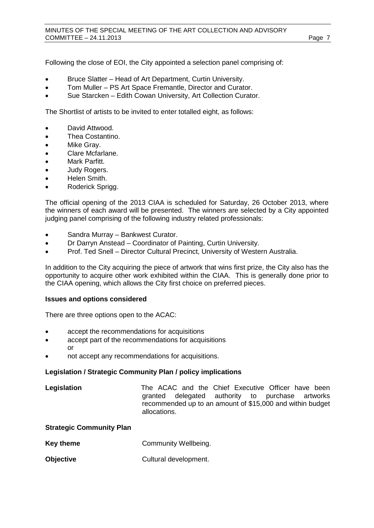Following the close of EOI, the City appointed a selection panel comprising of:

- Bruce Slatter Head of Art Department, Curtin University.
- Tom Muller PS Art Space Fremantle, Director and Curator.
- Sue Starcken Edith Cowan University, Art Collection Curator.

The Shortlist of artists to be invited to enter totalled eight, as follows:

- David Attwood.
- Thea Costantino.
- Mike Gray.
- Clare Mcfarlane.
- Mark Parfitt.
- Judy Rogers.
- Helen Smith.
- Roderick Sprigg.

The official opening of the 2013 CIAA is scheduled for Saturday, 26 October 2013, where the winners of each award will be presented. The winners are selected by a City appointed judging panel comprising of the following industry related professionals:

- Sandra Murray Bankwest Curator.
- Dr Darryn Anstead Coordinator of Painting, Curtin University.
- Prof. Ted Snell Director Cultural Precinct, University of Western Australia.

In addition to the City acquiring the piece of artwork that wins first prize, the City also has the opportunity to acquire other work exhibited within the CIAA. This is generally done prior to the CIAA opening, which allows the City first choice on preferred pieces.

# **Issues and options considered**

There are three options open to the ACAC:

- accept the recommendations for acquisitions
- accept part of the recommendations for acquisitions or
- not accept any recommendations for acquisitions.

#### **Legislation / Strategic Community Plan / policy implications**

| Legislation | The ACAC and the Chief Executive Officer have been        |  |  |  |  |
|-------------|-----------------------------------------------------------|--|--|--|--|
|             | granted delegated authority to purchase artworks          |  |  |  |  |
|             | recommended up to an amount of \$15,000 and within budget |  |  |  |  |
|             | allocations.                                              |  |  |  |  |

#### **Strategic Community Plan**

- **Key theme Community Wellbeing.**
- **Objective** Cultural development.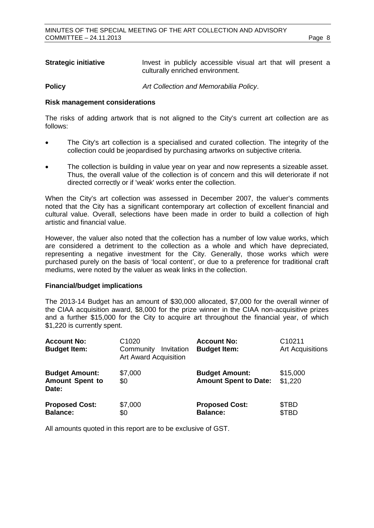| <b>Strategic initiative</b> |                                  | Invest in publicly accessible visual art that will present a |  |  |  |  |  |  |  |
|-----------------------------|----------------------------------|--------------------------------------------------------------|--|--|--|--|--|--|--|
|                             | culturally enriched environment. |                                                              |  |  |  |  |  |  |  |

**Policy** *Art Collection and Memorabilia Policy*.

### **Risk management considerations**

The risks of adding artwork that is not aligned to the City's current art collection are as follows:

- The City's art collection is a specialised and curated collection. The integrity of the collection could be jeopardised by purchasing artworks on subjective criteria.
- The collection is building in value year on year and now represents a sizeable asset. Thus, the overall value of the collection is of concern and this will deteriorate if not directed correctly or if 'weak' works enter the collection.

When the City's art collection was assessed in December 2007, the valuer's comments noted that the City has a significant contemporary art collection of excellent financial and cultural value. Overall, selections have been made in order to build a collection of high artistic and financial value.

However, the valuer also noted that the collection has a number of low value works, which are considered a detriment to the collection as a whole and which have depreciated, representing a negative investment for the City. Generally, those works which were purchased purely on the basis of 'local content', or due to a preference for traditional craft mediums, were noted by the valuer as weak links in the collection.

# **Financial/budget implications**

The 2013-14 Budget has an amount of \$30,000 allocated, \$7,000 for the overall winner of the CIAA acquisition award, \$8,000 for the prize winner in the CIAA non-acquisitive prizes and a further \$15,000 for the City to acquire art throughout the financial year, of which \$1,220 is currently spent.

| <b>Account No:</b><br><b>Budget Item:</b>                | C <sub>1020</sub><br>Community<br>Invitation<br><b>Art Award Acquisition</b> | <b>Account No:</b><br><b>Budget Item:</b>             | C <sub>10211</sub><br><b>Art Acquisitions</b> |
|----------------------------------------------------------|------------------------------------------------------------------------------|-------------------------------------------------------|-----------------------------------------------|
| <b>Budget Amount:</b><br><b>Amount Spent to</b><br>Date: | \$7,000<br>\$0                                                               | <b>Budget Amount:</b><br><b>Amount Spent to Date:</b> | \$15,000<br>\$1,220                           |
| <b>Proposed Cost:</b><br><b>Balance:</b>                 | \$7,000<br>\$0                                                               | <b>Proposed Cost:</b><br><b>Balance:</b>              | \$TBD<br>\$TBD                                |

All amounts quoted in this report are to be exclusive of GST.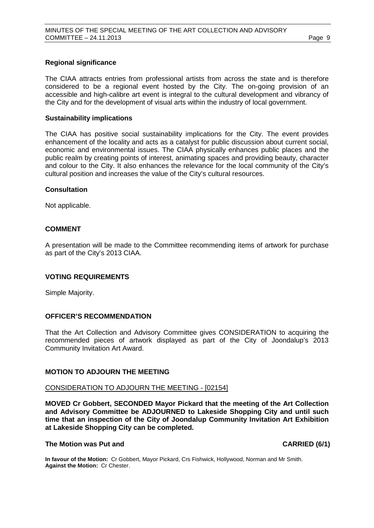### **Regional significance**

The CIAA attracts entries from professional artists from across the state and is therefore considered to be a regional event hosted by the City. The on-going provision of an accessible and high-calibre art event is integral to the cultural development and vibrancy of the City and for the development of visual arts within the industry of local government.

#### **Sustainability implications**

The CIAA has positive social sustainability implications for the City. The event provides enhancement of the locality and acts as a catalyst for public discussion about current social, economic and environmental issues. The CIAA physically enhances public places and the public realm by creating points of interest, animating spaces and providing beauty, character and colour to the City. It also enhances the relevance for the local community of the City's cultural position and increases the value of the City's cultural resources.

#### **Consultation**

Not applicable.

# **COMMENT**

A presentation will be made to the Committee recommending items of artwork for purchase as part of the City's 2013 CIAA.

#### **VOTING REQUIREMENTS**

Simple Majority.

# **OFFICER'S RECOMMENDATION**

That the Art Collection and Advisory Committee gives CONSIDERATION to acquiring the recommended pieces of artwork displayed as part of the City of Joondalup's 2013 Community Invitation Art Award.

# <span id="page-8-0"></span>**MOTION TO ADJOURN THE MEETING**

### CONSIDERATION TO ADJOURN THE MEETING - [02154]

**MOVED Cr Gobbert, SECONDED Mayor Pickard that the meeting of the Art Collection and Advisory Committee be ADJOURNED to Lakeside Shopping City and until such time that an inspection of the City of Joondalup Community Invitation Art Exhibition at Lakeside Shopping City can be completed.**

### **The Motion was Put and CARRIED (6/1)**

**In favour of the Motion:** Cr Gobbert, Mayor Pickard, Crs Fishwick, Hollywood, Norman and Mr Smith. **Against the Motion:** Cr Chester.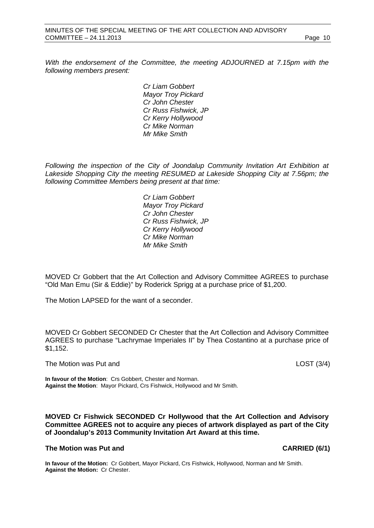*With the endorsement of the Committee, the meeting ADJOURNED at 7.15pm with the following members present:*

> *Cr Liam Gobbert Mayor Troy Pickard Cr John Chester Cr Russ Fishwick, JP Cr Kerry Hollywood Cr Mike Norman Mr Mike Smith*

*Following the inspection of the City of Joondalup Community Invitation Art Exhibition at Lakeside Shopping City the meeting RESUMED at Lakeside Shopping City at 7.56pm; the following Committee Members being present at that time:*

> *Cr Liam Gobbert Mayor Troy Pickard Cr John Chester Cr Russ Fishwick, JP Cr Kerry Hollywood Cr Mike Norman Mr Mike Smith*

MOVED Cr Gobbert that the Art Collection and Advisory Committee AGREES to purchase "Old Man Emu (Sir & Eddie)" by Roderick Sprigg at a purchase price of \$1,200.

The Motion LAPSED for the want of a seconder.

MOVED Cr Gobbert SECONDED Cr Chester that the Art Collection and Advisory Committee AGREES to purchase "Lachrymae Imperiales II" by Thea Costantino at a purchase price of \$1,152.

The Motion was Put and **LOST** (3/4)

**In favour of the Motion**: Crs Gobbert, Chester and Norman. **Against the Motion**: Mayor Pickard, Crs Fishwick, Hollywood and Mr Smith.

**MOVED Cr Fishwick SECONDED Cr Hollywood that the Art Collection and Advisory Committee AGREES not to acquire any pieces of artwork displayed as part of the City of Joondalup's 2013 Community Invitation Art Award at this time.**

### **The Motion was Put and CARRIED (6/1)**

**In favour of the Motion:** Cr Gobbert, Mayor Pickard, Crs Fishwick, Hollywood, Norman and Mr Smith. **Against the Motion:** Cr Chester.